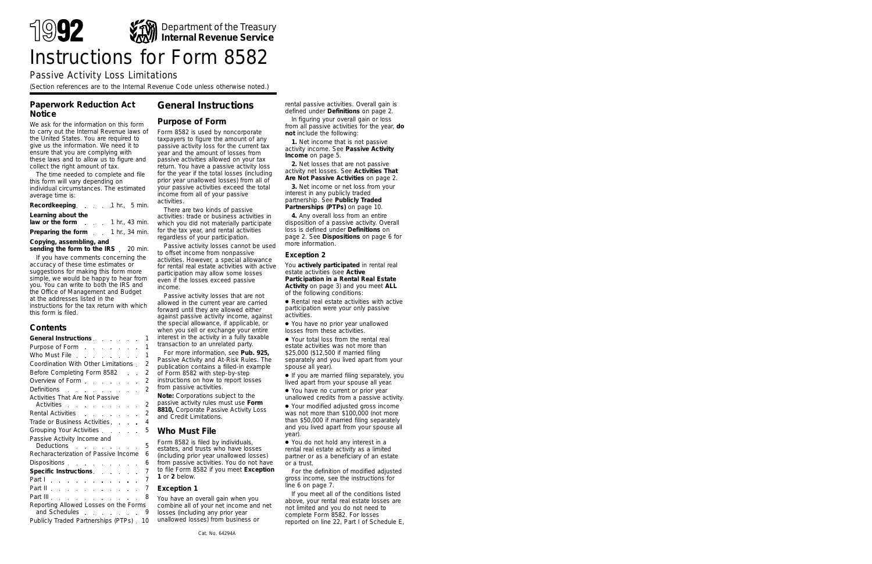

# Passive Activity Loss Limitations

*(Section references are to the Internal Revenue Code unless otherwise noted.)*

# **Paperwork Reduction Act Notice**

We ask for the information on this form to carry out the Internal Revenue laws of the United States. You are required to give us the information. We need it to ensure that you are complying with these laws and to allow us to figure and collect the right amount of tax.

The time needed to complete and file this form will vary depending on individual circumstances. The estimated average time is:

| Recordkeeping. 1hr., 5 min.                                          |  |  |
|----------------------------------------------------------------------|--|--|
| Learning about the<br>law or the form $\qquad \qquad$ 1 hr., 43 min. |  |  |
| <b>Preparing the form</b> 1 hr., 34 min.                             |  |  |

#### **Copying, assembling, and**

sending the form to the IRS 20 min. If you have comments concerning the accuracy of these time estimates or suggestions for making this form more simple, we would be happy to hear from you. You can write to both the IRS and the Office of Management and Budget at the addresses listed in the instructions for the tax return with which

this form is filed.

# **Contents**

| General Instructions extended to the set of |  |  |  |  |  |              |  | 1              |  |  |
|---------------------------------------------|--|--|--|--|--|--------------|--|----------------|--|--|
| Purpose of Form                             |  |  |  |  |  |              |  | 1              |  |  |
| Who Must File                               |  |  |  |  |  |              |  | $\mathbf{1}$   |  |  |
| Coordination With Other Limitations.        |  |  |  |  |  |              |  | $\overline{2}$ |  |  |
| Before Completing Form 8582                 |  |  |  |  |  | $\mathbf{r}$ |  | $\overline{2}$ |  |  |
| Overview of Form                            |  |  |  |  |  |              |  | $\overline{2}$ |  |  |
| Definitions                                 |  |  |  |  |  |              |  | $\overline{2}$ |  |  |
| <b>Activities That Are Not Passive</b>      |  |  |  |  |  |              |  |                |  |  |
| Activities                                  |  |  |  |  |  |              |  | 2              |  |  |
| Rental Activities                           |  |  |  |  |  |              |  | $\overline{2}$ |  |  |
| Trade or Business Activities.               |  |  |  |  |  |              |  | $\overline{A}$ |  |  |
| Grouping Your Activities                    |  |  |  |  |  |              |  | 5              |  |  |
| Passive Activity Income and                 |  |  |  |  |  |              |  |                |  |  |
| Deductions                                  |  |  |  |  |  |              |  | 5              |  |  |
| Recharacterization of Passive Income        |  |  |  |  |  |              |  | 6              |  |  |
| Dispositions                                |  |  |  |  |  |              |  | 6              |  |  |
| Specific Instructions.                      |  |  |  |  |  |              |  | $\overline{7}$ |  |  |
| Part I                                      |  |  |  |  |  |              |  | $\overline{7}$ |  |  |
| Part II                                     |  |  |  |  |  |              |  | $\overline{7}$ |  |  |
| Part III                                    |  |  |  |  |  |              |  | - 8            |  |  |
| Reporting Allowed Losses on the Forms       |  |  |  |  |  |              |  |                |  |  |
| and Schedules                               |  |  |  |  |  |              |  | 9              |  |  |
| Publicly Traded Partnerships (PTPs) . 10    |  |  |  |  |  |              |  |                |  |  |

# **General Instructions**

### **Purpose of Form**

Form 8582 is used by noncorporate taxpayers to figure the amount of any passive activity loss for the current tax year and the amount of losses from passive activities allowed on your tax return. You have a passive activity loss for the year if the total losses (including prior year unallowed losses) from all of your passive activities exceed the total income from all of your passive activities.

There are two kinds of passive activities: trade or business activities in which you did not materially participate for the tax year, and rental activities regardless of your participation.

Passive activity losses cannot be used to offset income from nonpassive activities. However, a special allowance for rental real estate activities with active participation may allow some losses even if the losses exceed passive income.

Passive activity losses that are not allowed in the current year are carried forward until they are allowed either against passive activity income, against the special allowance, if applicable, or when you sell or exchange your entire interest in the activity in a fully taxable transaction to an unrelated party.

For more information, see **Pub. 925,** Passive Activity and At-Risk Rules. The publication contains a filled-in example of Form 8582 with step-by-step instructions on how to report losses from passive activities.

**Note:** *Corporations subject to the passive activity rules must use Form 8810, Corporate Passive Activity Loss and Credit Limitations.*

## **Who Must File**

Form 8582 is filed by individuals, estates, and trusts who have losses (including prior year unallowed losses) from passive activities. You do not have to file Form 8582 if you meet **Exception 1** or **2** below.

### **Exception 1**

You have an overall gain when you combine all of your net income and net losses (including any prior year unallowed losses) from business or

rental passive activities. Overall gain is defined under **Definitions** on page 2.

In figuring your overall gain or loss from all passive activities for the year, **do not** include the following:

**1.** Net income that is not passive activity income. See **Passive Activity Income** on page 5.

**2.** Net losses that are not passive activity net losses. See **Activities That Are Not Passive Activities** on page 2.

**3.** Net income or net loss from your interest in any publicly traded partnership. See **Publicly Traded Partnerships (PTPs)** on page 10.

**4.** Any overall loss from an entire disposition of a passive activity. Overall loss is defined under **Definitions** on page 2. See **Dispositions** on page 6 for more information.

#### **Exception 2**

You **actively participated** in rental real estate activities (see **Active Participation in a Rental Real Estate Activity** on page 3) and you meet **ALL** of the following conditions:

- Rental real estate activities with active participation were your only passive activities.
- You have no prior year unallowed losses from these activities.

● Your total loss from the rental real estate activities was not more than \$25,000 (\$12,500 if married filing separately and you lived apart from your spouse all year).

● If you are married filing separately, you lived apart from your spouse all year.

● You have no current or prior year unallowed credits from a passive activity.

● Your modified adjusted gross income was not more than \$100,000 (not more than \$50,000 if married filing separately and you lived apart from your spouse all year).

● You do not hold any interest in a rental real estate activity as a limited partner or as a beneficiary of an estate or a trust.

For the definition of modified adjusted gross income, see the instructions for line 6 on page 7.

If you meet all of the conditions listed above, your rental real estate losses are not limited and you do not need to complete Form 8582. For losses reported on line 22, Part I of Schedule E,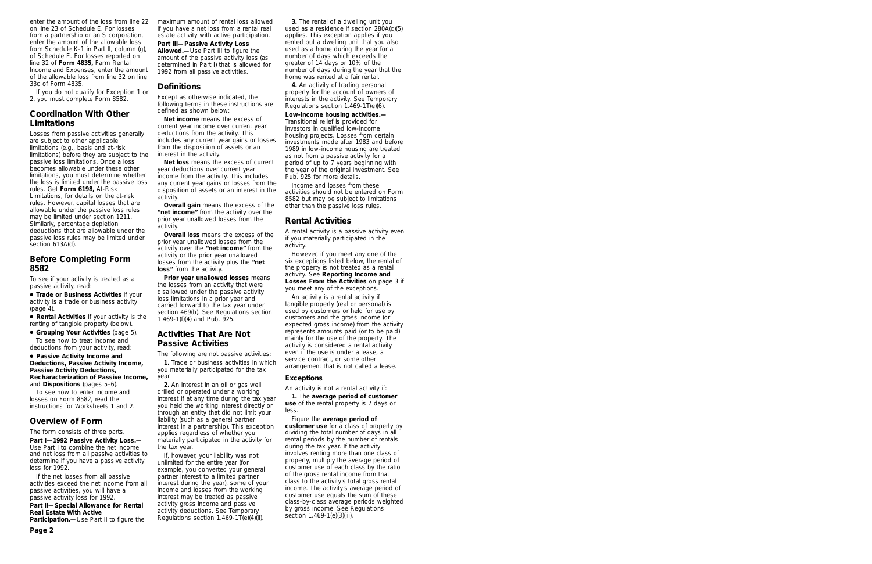enter the amount of the loss from line 22 on line 23 of Schedule E. For losses from a partnership or an S corporation, enter the amount of the allowable loss from Schedule K-1 in Part II, column (g), of Schedule E. For losses reported on line 32 of **Form 4835,** Farm Rental Income and Expenses, enter the amount of the allowable loss from line 32 on line 33c of Form 4835.

If you do not qualify for Exception 1 or 2, you must complete Form 8582.

## **Coordination With Other Limitations**

Losses from passive activities generally are subject to other applicable limitations (e.g., basis and at-risk limitations) before they are subject to the passive loss limitations. Once a loss becomes allowable under these other limitations, you must determine whether the loss is limited under the passive loss rules. Get **Form 6198,** At-Risk Limitations, for details on the at-risk rules. However, capital losses that are allowable under the passive loss rules may be limited under section 1211. Similarly, percentage depletion deductions that are allowable under the passive loss rules may be limited under section 613A(d).

## **Before Completing Form 8582**

To see if your activity is treated as a passive activity, read:

● **Trade or Business Activities** if your activity is a trade or business activity (page 4).

● **Rental Activities** if your activity is the renting of tangible property (below).

● **Grouping Your Activities** (page 5). To see how to treat income and deductions from your activity, read:

#### ● **Passive Activity Income and Deductions, Passive Activity Income, Passive Activity Deductions, Recharacterization of Passive Income,** and **Dispositions** (pages 5–6).

To see how to enter income and losses on Form 8582, read the instructions for Worksheets 1 and 2.

# **Overview of Form**

The form consists of three parts.

**Part I—1992 Passive Activity Loss.—** Use Part I to combine the net income and net loss from all passive activities to determine if you have a passive activity loss for 1992.

If the net losses from all passive activities exceed the net income from all passive activities, you will have a passive activity loss for 1992.

### **Part II—Special Allowance for Rental Real Estate With Active**

**Participation.—**Use Part II to figure the

maximum amount of rental loss allowed if you have a net loss from a rental real estate activity with active participation.

**Part III—Passive Activity Loss Allowed.—**Use Part III to figure the amount of the passive activity loss (as determined in Part I) that is allowed for 1992 from all passive activities.

# **Definitions**

Except as otherwise indicated, the following terms in these instructions are defined as shown below:

**Net income** means the excess of current year income over current year deductions from the activity. This includes any current year gains or losses from the disposition of assets or an interest in the activity.

**Net loss** means the excess of current year deductions over current year income from the activity. This includes any current year gains or losses from the disposition of assets or an interest in the activity.

**Overall gain** means the excess of the **"net income"** from the activity over the prior year unallowed losses from the activity.

**Overall loss** means the excess of the prior year unallowed losses from the activity over the **"net income"** from the activity or the prior year unallowed losses from the activity plus the **"net loss"** from the activity.

**Prior year unallowed losses** means the losses from an activity that were disallowed under the passive activity loss limitations in a prior year and carried forward to the tax year under section 469(b). See Regulations section 1.469-1(f)(4) and Pub.  $925$ .

# **Activities That Are Not Passive Activities**

The following are not passive activities: **1.** Trade or business activities in which you materially participated for the tax year.

**2.** An interest in an oil or gas well drilled or operated under a working interest if at any time during the tax year you held the working interest directly or through an entity that did not limit your liability (such as a general partner interest in a partnership). This exception applies regardless of whether you materially participated in the activity for the tax year.

If, however, your liability was not unlimited for the entire year (for example, you converted your general partner interest to a limited partner interest during the year), some of your income and losses from the working interest may be treated as passive activity gross income and passive activity deductions. See Temporary Regulations section 1.469-1T(e)(4)(ii).

**3.** The rental of a dwelling unit you used as a residence if section 280A(c)(5) applies. This exception applies if you rented out a dwelling unit that you also used as a home during the year for a number of days which exceeds the greater of 14 days or 10% of the number of days during the year that the home was rented at a fair rental.

**4.** An activity of trading personal property for the account of owners of interests in the activity. See Temporary Regulations section 1.469-1T(e)(6).

**Low-income housing activities.—** Transitional relief is provided for investors in qualified low-income housing projects. Losses from certain investments made after 1983 and before 1989 in low-income housing are treated as not from a passive activity for a period of up to 7 years beginning with the year of the original investment. See Pub. 925 for more details.

Income and losses from these activities should not be entered on Form 8582 but may be subject to limitations other than the passive loss rules.

# **Rental Activities**

A rental activity is a passive activity even if you materially participated in the activity.

However, if you meet any one of the six exceptions listed below, the rental of the property is not treated as a rental activity. See **Reporting Income and Losses From the Activities** on page 3 if you meet any of the exceptions.

An activity is a rental activity if tangible property (real or personal) is used by customers or held for use by customers and the gross income (or expected gross income) from the activity represents amounts paid (or to be paid) mainly for the use of the property. The activity is considered a rental activity even if the use is under a lease, a service contract, or some other arrangement that is not called a lease.

### **Exceptions**

An activity is not a rental activity if:

**1.** The **average period of customer use** of the rental property is 7 days or less.

Figure the **average period of customer use** for a class of property by dividing the total number of days in all rental periods by the number of rentals during the tax year. If the activity involves renting more than one class of property, multiply the average period of customer use of each class by the ratio of the gross rental income from that class to the activity's total gross rental income. The activity's average period of customer use equals the sum of these class-by-class average periods weighted by gross income. See Regulations section 1.469-1(e)(3)(iii).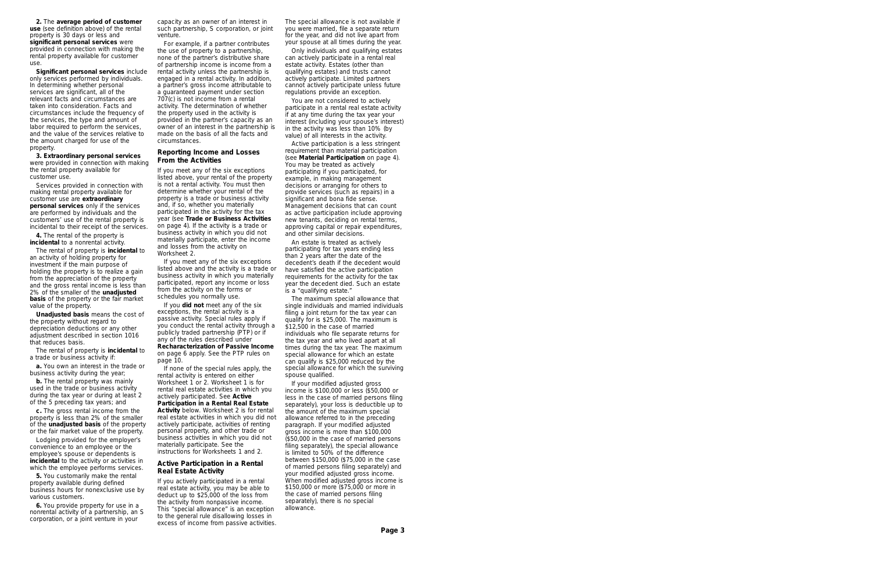**2.** The **average period of customer use** (see definition above) of the rental property is 30 days or less and **significant personal services** were provided in connection with making the rental property available for customer use.

**Significant personal services** include only services performed by individuals. In determining whether personal services are significant, all of the relevant facts and circumstances are taken into consideration. Facts and circumstances include the frequency of the services, the type and amount of labor required to perform the services and the value of the services relative to the amount charged for use of the property.

**3. Extraordinary personal services** were provided in connection with making the rental property available for customer use.

Services provided in connection with making rental property available for customer use are **extraordinary personal services** only if the services are performed by individuals and the customers' use of the rental property is incidental to their receipt of the services.

**4.** The rental of the property is **incidental** to a nonrental activity.

The rental of property is **incidental** to an activity of holding property for investment if the main purpose of holding the property is to realize a gain from the appreciation of the property and the gross rental income is less than 2% of the smaller of the **unadjusted basis** of the property or the fair market value of the property.

**Unadjusted basis** means the cost of the property without regard to depreciation deductions or any other adjustment described in section 1016 that reduces basis.

The rental of property is **incidental** to a trade or business activity if:

**a.** You own an interest in the trade or business activity during the year;

**b.** The rental property was mainly used in the trade or business activity during the tax year or during at least 2 of the 5 preceding tax years; and

**c.** The gross rental income from the property is less than 2% of the smaller of the **unadjusted basis** of the property or the fair market value of the property.

Lodging provided for the employer's convenience to an employee or the employee's spouse or dependents is **incidental** to the activity or activities in which the employee performs services.

**5.** You customarily make the rental property available during defined business hours for nonexclusive use by various customers.

**6.** You provide property for use in a nonrental activity of a partnership, an S corporation, or a joint venture in your

capacity as an owner of an interest in such partnership, S corporation, or joint venture.

For example, if a partner contributes the use of property to a partnership, none of the partner's distributive share of partnership income is income from a rental activity unless the partnership is engaged in a rental activity. In addition, a partner's gross income attributable to a guaranteed payment under section 707(c) is not income from a rental activity. The determination of whether the property used in the activity is provided in the partner's capacity as an owner of an interest in the partnership is made on the basis of all the facts and circumstances.

#### **Reporting Income and Losses From the Activities**

If you meet any of the six exceptions listed above, your rental of the property is not a rental activity. You must then determine whether your rental of the property is a trade or business activity and, if so, whether you materially participated in the activity for the tax year (see **Trade or Business Activities** on page 4). If the activity is a trade or business activity in which you did not materially participate, enter the income and losses from the activity on Worksheet 2.

If you meet any of the six exceptions listed above and the activity is a trade or business activity in which you materially participated, report any income or loss from the activity on the forms or schedules you normally use.

If you **did not** meet any of the six exceptions, the rental activity is a passive activity. Special rules apply if you conduct the rental activity through a publicly traded partnership (PTP) or if any of the rules described under **Recharacterization of Passive Income**

on page 6 apply. See the PTP rules on page 10.

If none of the special rules apply, the rental activity is entered on either Worksheet 1 or 2. Worksheet 1 is for rental real estate activities in which you actively participated. See **Active Participation in a Rental Real Estate Activity** below. Worksheet 2 is for rental real estate activities in which you did not actively participate, activities of renting personal property, and other trade or business activities in which you did not materially participate. See the instructions for Worksheets 1 and 2.

### **Active Participation in a Rental Real Estate Activity**

If you actively participated in a rental real estate activity, you may be able to deduct up to \$25,000 of the loss from the activity from nonpassive income. This "special allowance" is an exception to the general rule disallowing losses in excess of income from passive activities. The special allowance is not available if you were married, file a separate return for the year, and did not live apart from your spouse at all times during the year.

Only individuals and qualifying estates can actively participate in a rental real estate activity. Estates (other than qualifying estates) and trusts cannot actively participate. Limited partners cannot actively participate unless future regulations provide an exception.

You are not considered to actively participate in a rental real estate activity if at any time during the tax year your interest (including your spouse's interest) in the activity was less than 10% (by value) of all interests in the activity.

Active participation is a less stringent requirement than material participation (see **Material Participation** on page 4). You may be treated as actively participating if you participated, for example, in making management decisions or arranging for others to provide services (such as repairs) in a significant and bona fide sense. Management decisions that can count as active participation include approving new tenants, deciding on rental terms, approving capital or repair expenditures, and other similar decisions.

An estate is treated as actively participating for tax years ending less than 2 years after the date of the decedent's death if the decedent would have satisfied the active participation requirements for the activity for the tax year the decedent died. Such an estate is a "qualifying estate."

The maximum special allowance that single individuals and married individuals filing a joint return for the tax year can qualify for is \$25,000. The maximum is \$12,500 in the case of married individuals who file separate returns for the tax year and who lived apart at all times during the tax year. The maximum special allowance for which an estate can qualify is \$25,000 reduced by the special allowance for which the surviving spouse qualified.

If your modified adjusted gross income is \$100,000 or less (\$50,000 or less in the case of married persons filing separately), your loss is deductible up to the amount of the maximum special allowance referred to in the preceding paragraph. If your modified adjusted gross income is more than \$100,000 (\$50,000 in the case of married persons filing separately), the special allowance is limited to 50% of the difference between \$150,000 (\$75,000 in the case of married persons filing separately) and your modified adjusted gross income. When modified adjusted gross income is \$150,000 or more (\$75,000 or more in the case of married persons filing separately), there is no special allowance.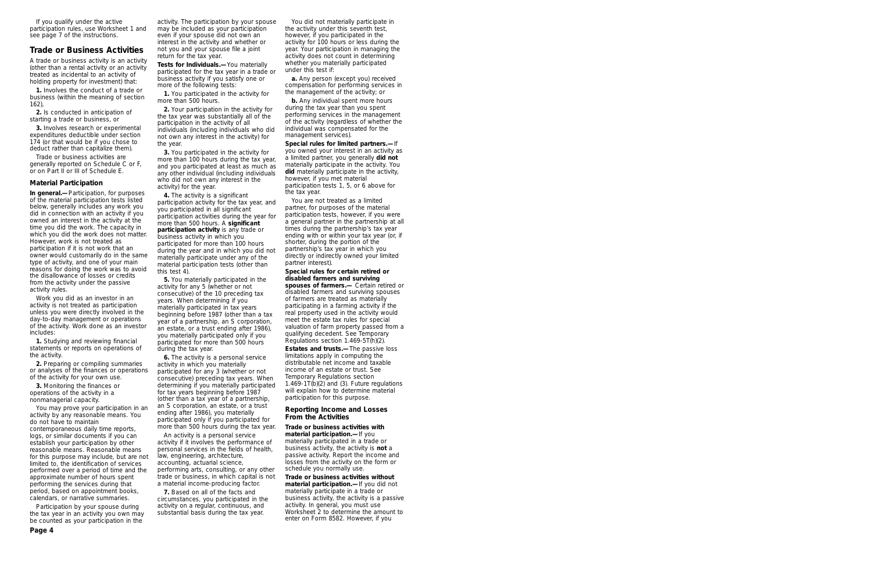If you qualify under the active participation rules, use Worksheet 1 and see page 7 of the instructions.

# **Trade or Business Activities**

A trade or business activity is an activity (other than a rental activity or an activity treated as incidental to an activity of holding property for investment) that:

**1.** Involves the conduct of a trade or business (within the meaning of section 162),

**2.** Is conducted in anticipation of starting a trade or business, or

**3.** Involves research or experimental expenditures deductible under section 174 (or that would be if you chose to deduct rather than capitalize them).

Trade or business activities are generally reported on Schedule C or F, or on Part II or III of Schedule E.

### **Material Participation**

**In general.—**Participation, for purposes of the material participation tests listed below, generally includes any work you did in connection with an activity if you owned an interest in the activity at the time you did the work. The capacity in which you did the work does not matter. However, work is not treated as participation if it is not work that an owner would customarily do in the same type of activity, and one of your main reasons for doing the work was to avoid the disallowance of losses or credits from the activity under the passive activity rules.

Work you did as an investor in an activity is not treated as participation unless you were directly involved in the day-to-day management or operations of the activity. Work done as an investor includes:

**1.** Studying and reviewing financial statements or reports on operations of the activity.

**2.** Preparing or compiling summaries or analyses of the finances or operations of the activity for your own use.

**3.** Monitoring the finances or operations of the activity in a nonmanagerial capacity.

You may prove your participation in an activity by any reasonable means. You do not have to maintain contemporaneous daily time reports, logs, or similar documents if you can establish your participation by other reasonable means. Reasonable means for this purpose may include, but are not limited to, the identification of services performed over a period of time and the approximate number of hours spent performing the services during that period, based on appointment books, calendars, or narrative summaries.

Participation by your spouse during the tax year in an activity you own may be counted as your participation in the

activity. The participation by your spouse may be included as your participation even if your spouse did not own an interest in the activity and whether or not you and your spouse file a joint return for the tax year.

**Tests for Individuals.—**You materially participated for the tax year in a trade or business activity if you satisfy one or more of the following tests:

**1.** You participated in the activity for more than 500 hours.

**2.** Your participation in the activity for the tax year was substantially all of the participation in the activity of all individuals (including individuals who did not own any interest in the activity) for the year.

**3.** You participated in the activity for more than 100 hours during the tax year, and you participated at least as much as any other individual (including individuals who did not own any interest in the activity) for the year.

**4.** The activity is a significant participation activity for the tax year, and you participated in all significant participation activities during the year for more than 500 hours. A **significant participation activity** is any trade or business activity in which you participated for more than 100 hours during the year and in which you did not materially participate under any of the material participation tests (other than this test 4).

**5.** You materially participated in the activity for any 5 (whether or not consecutive) of the 10 preceding tax years. When determining if you materially participated in tax years beginning before 1987 (other than a tax year of a partnership, an S corporation, an estate, or a trust ending after 1986), you materially participated only if you participated for more than 500 hours during the tax year.

**6.** The activity is a personal service activity in which you materially participated for any 3 (whether or not consecutive) preceding tax years. When determining if you materially participated for tax years beginning before 1987 (other than a tax year of a partnership, an S corporation, an estate, or a trust ending after 1986), you materially participated only if you participated for more than 500 hours during the tax year.

An activity is a personal service activity if it involves the performance of personal services in the fields of health, law, engineering, architecture, accounting, actuarial science, performing arts, consulting, or any other trade or business, in which capital is not a material income-producing factor.

**7.** Based on all of the facts and circumstances, you participated in the activity on a regular, continuous, and substantial basis during the tax year.

You did not materially participate in the activity under this seventh test, however, if you participated in the activity for 100 hours or less during the year. Your participation in managing the activity does not count in determining whether you materially participated under this test if:

**a.** Any person (except you) received compensation for performing services in the management of the activity; or

**b.** Any individual spent more hours during the tax year than you spent performing services in the management of the activity (regardless of whether the individual was compensated for the management services).

**Special rules for limited partners.—**If you owned your interest in an activity as a limited partner, you generally **did not** materially participate in the activity. You **did** materially participate in the activity, however, if you met material participation tests 1, 5, or 6 above for the tax year.

You are not treated as a limited partner, for purposes of the material participation tests, however, if you were a general partner in the partnership at all times during the partnership's tax year ending with or within your tax year (or, if shorter, during the portion of the partnership's tax year in which you directly or indirectly owned your limited partner interest).

**Special rules for certain retired or disabled farmers and surviving spouses of farmers.—** Certain retired or disabled farmers and surviving spouses of farmers are treated as materially participating in a farming activity if the real property used in the activity would meet the estate tax rules for special valuation of farm property passed from a qualifying decedent. See Temporary Regulations section 1.469-5T(h)(2).

**Estates and trusts.—**The passive loss limitations apply in computing the distributable net income and taxable income of an estate or trust. See Temporary Regulations section 1.469-1T(b)(2) and (3). Future regulations will explain how to determine material participation for this purpose.

#### **Reporting Income and Losses From the Activities**

**Trade or business activities with material participation.—**If you materially participated in a trade or business activity, the activity is **not** a passive activity. Report the income and losses from the activity on the form or schedule you normally use.

**Trade or business activities without material participation.—**If you did not materially participate in a trade or business activity, the activity is a passive activity. In general, you must use Worksheet 2 to determine the amount to enter on Form 8582. However, if you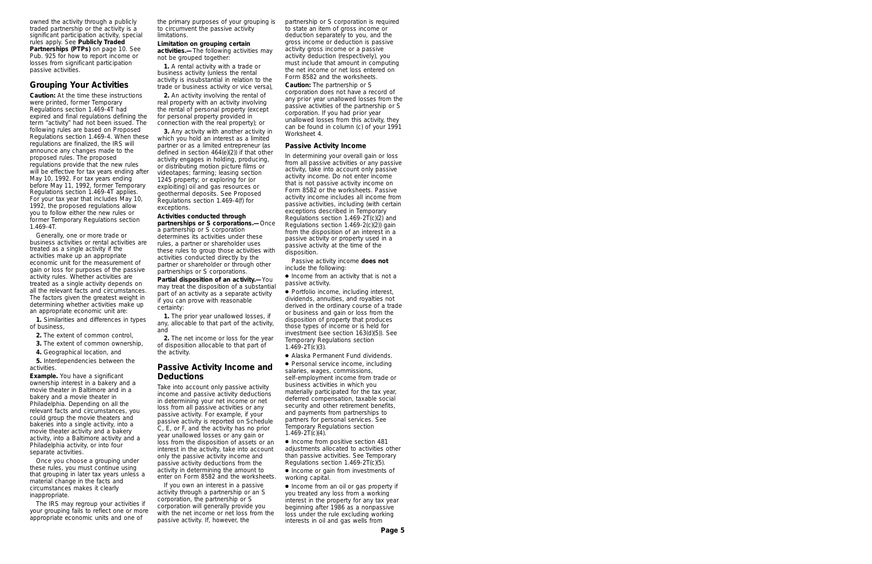owned the activity through a publicly traded partnership or the activity is a significant participation activity, special rules apply. See **Publicly Traded Partnerships (PTPs)** on page 10. See Pub. 925 for how to report income or losses from significant participation passive activities.

# **Grouping Your Activities**

**Caution:** *At the time these instructions were printed, former Temporary Regulations section 1.469-4T had expired and final regulations defining the term "activity" had not been issued. The following rules are based on Proposed Regulations section 1.469-4. When these regulations are finalized, the IRS will announce any changes made to the proposed rules. The proposed regulations provide that the new rules will be effective for tax years ending after May 10, 1992. For tax years ending before May 11, 1992, former Temporary Regulations section 1.469-4T applies. For your tax year that includes May 10, 1992, the proposed regulations allow you to follow either the new rules or former Temporary Regulations section 1.469-4T.*

Generally, one or more trade or business activities or rental activities are treated as a single activity if the activities make up an appropriate economic unit for the measurement of gain or loss for purposes of the passive activity rules. Whether activities are treated as a single activity depends on all the relevant facts and circumstances. The factors given the greatest weight in determining whether activities make up an appropriate economic unit are:

**1.** Similarities and differences in types of business,

**2.** The extent of common control,

**3.** The extent of common ownership,

**4.** Geographical location, and

**5.** Interdependencies between the activities.

**Example.** You have a significant ownership interest in a bakery and a movie theater in Baltimore and in a bakery and a movie theater in Philadelphia. Depending on all the relevant facts and circumstances, you could group the movie theaters and bakeries into a single activity, into a movie theater activity and a bakery activity, into a Baltimore activity and a Philadelphia activity, or into four separate activities.

Once you choose a grouping under these rules, you must continue using that grouping in later tax years unless a material change in the facts and circumstances makes it clearly inappropriate.

The IRS may regroup your activities if your grouping fails to reflect one or more appropriate economic units and one of

the primary purposes of your grouping is to circumvent the passive activity limitations.

#### **Limitation on grouping certain activities.—**The following activities may

not be grouped together:

**1.** A rental activity with a trade or business activity (unless the rental activity is insubstantial in relation to the trade or business activity or vice versa),

**2.** An activity involving the rental of real property with an activity involving the rental of personal property (except for personal property provided in connection with the real property); or

**3.** Any activity with another activity in which you hold an interest as a limited partner or as a limited entrepreneur (as defined in section 464(e)(2)) if that other activity engages in holding, producing, or distributing motion picture films or videotapes; farming; leasing section 1245 property; or exploring for (or exploiting) oil and gas resources or geothermal deposits. See Proposed Regulations section 1.469-4(f) for exceptions.

#### **Activities conducted through partnerships or S corporations.—**Once a partnership or S corporation determines its activities under these rules, a partner or shareholder uses these rules to group those activities with activities conducted directly by the partner or shareholder or through other partnerships or S corporations.

**Partial disposition of an activity.—**You may treat the disposition of a substantial part of an activity as a separate activity if you can prove with reasonable certainty:

**1.** The prior year unallowed losses, if any, allocable to that part of the activity, and

**2.** The net income or loss for the year of disposition allocable to that part of the activity.

# **Passive Activity Income and Deductions**

Take into account only passive activity income and passive activity deductions in determining your net income or net loss from all passive activities or any passive activity. For example, if your passive activity is reported on Schedule C, E, or F, and the activity has no prior year unallowed losses or any gain or loss from the disposition of assets or an interest in the activity, take into account only the passive activity income and passive activity deductions from the activity in determining the amount to enter on Form 8582 and the worksheets.

If you own an interest in a passive activity through a partnership or an S corporation, the partnership or S corporation will generally provide you with the net income or net loss from the passive activity. If, however, the

partnership or S corporation is required to state an item of gross income or deduction separately to you, and the gross income or deduction is passive activity gross income or a passive activity deduction (respectively), you must include that amount in computing the net income or net loss entered on Form 8582 and the worksheets.

**Caution:** *The partnership or S corporation does not have a record of any prior year unallowed losses from the passive activities of the partnership or S corporation. If you had prior year unallowed losses from this activity, they can be found in column (c) of your 1991 Worksheet 4.*

### **Passive Activity Income**

In determining your overall gain or loss from all passive activities or any passive activity, take into account only passive activity income. Do not enter income that is not passive activity income on Form 8582 or the worksheets. Passive activity income includes all income from passive activities, including (with certain exceptions described in Temporary Regulations section 1.469-2T(c)(2) and Regulations section 1.469-2(c)(2)) gain from the disposition of an interest in a passive activity or property used in a passive activity at the time of the disposition.

Passive activity income **does not** include the following:

● Income from an activity that is not a passive activity.

● Portfolio income, including interest, dividends, annuities, and royalties not derived in the ordinary course of a trade or business and gain or loss from the disposition of property that produces those types of income or is held for investment (see section 163(d)(5)). See Temporary Regulations section 1.469-2T(c)(3).

● Alaska Permanent Fund dividends. ● Personal service income, including salaries, wages, commissions, self-employment income from trade or business activities in which you materially participated for the tax year, deferred compensation, taxable social security and other retirement benefits, and payments from partnerships to partners for personal services. See Temporary Regulations section 1.469-2T(c)(4).

● Income from positive section 481 adjustments allocated to activities other than passive activities. See Temporary Regulations section 1.469-2T(c)(5).

● Income or gain from investments of working capital.

● Income from an oil or gas property if you treated any loss from a working interest in the property for any tax year beginning after 1986 as a nonpassive loss under the rule excluding working interests in oil and gas wells from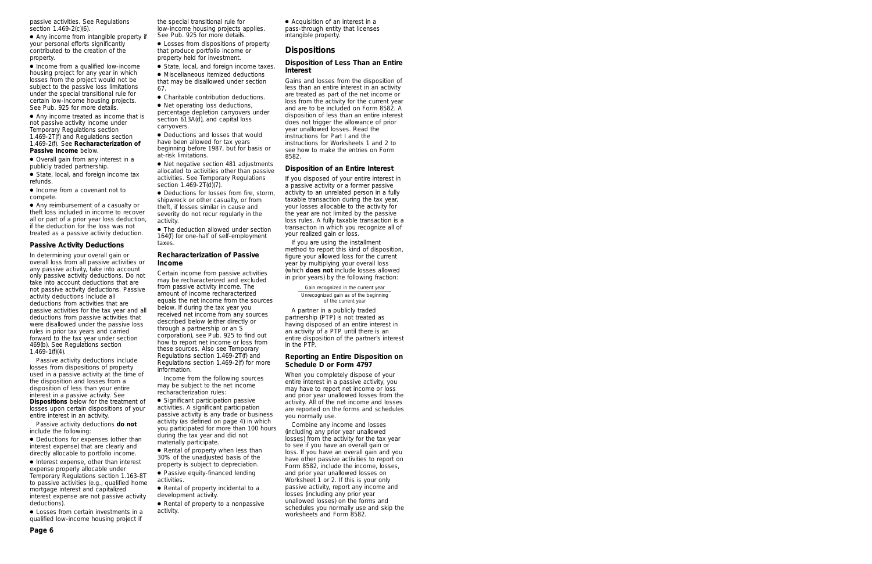passive activities. See Regulations section 1.469-2(c)(6).

● Any income from intangible property if your personal efforts significantly contributed to the creation of the property.

● Income from a qualified low-income housing project for any year in which losses from the project would not be subject to the passive loss limitations under the special transitional rule for certain low-income housing projects. See Pub. 925 for more details.

● Any income treated as income that is not passive activity income under Temporary Regulations section 1.469-2T(f) and Regulations section 1.469-2(f). See **Recharacterization of Passive Income** below.

● Overall gain from any interest in a publicly traded partnership.

● State, local, and foreign income tax refunds.

● Income from a covenant not to compete.

● Any reimbursement of a casualty or theft loss included in income to recover all or part of a prior year loss deduction, if the deduction for the loss was not treated as a passive activity deduction.

### **Passive Activity Deductions**

In determining your overall gain or overall loss from all passive activities or any passive activity, take into account only passive activity deductions. Do not take into account deductions that are not passive activity deductions. Passive activity deductions include all deductions from activities that are passive activities for the tax year and all deductions from passive activities that were disallowed under the passive loss rules in prior tax years and carried forward to the tax year under section 469(b). See Regulations section 1.469-1(f)(4).

Passive activity deductions include losses from dispositions of property used in a passive activity at the time of the disposition and losses from a disposition of less than your entire interest in a passive activity. See **Dispositions** below for the treatment of losses upon certain dispositions of your entire interest in an activity.

Passive activity deductions **do not** include the following:

● Deductions for expenses (other than interest expense) that are clearly and directly allocable to portfolio income.

● Interest expense, other than interest expense properly allocable under Temporary Regulations section 1.163-8T to passive activities (e.g., qualified home mortgage interest and capitalized interest expense are not passive activity deductions).

● Losses from certain investments in a qualified low-income housing project if

the special transitional rule for low-income housing projects applies. See Pub. 925 for more details.

● Losses from dispositions of property that produce portfolio income or property held for investment.

● State, local, and foreign income taxes.

● Miscellaneous itemized deductions that may be disallowed under section 67.

● Charitable contribution deductions.

● Net operating loss deductions, percentage depletion carryovers under section 613A(d), and capital loss carryovers.

● Deductions and losses that would have been allowed for tax years beginning before 1987, but for basis or at-risk limitations.

● Net negative section 481 adjustments allocated to activities other than passive activities. See Temporary Regulations section 1.469-2T(d)(7).

● Deductions for losses from fire, storm, shipwreck or other casualty, or from theft, if losses similar in cause and severity do not recur regularly in the activity.

• The deduction allowed under section 164(f) for one-half of self-employment taxes.

#### **Recharacterization of Passive Income**

Certain income from passive activities may be recharacterized and excluded from passive activity income. The amount of income recharacterized equals the net income from the sources below. If during the tax year you received net income from any sources described below (either directly or through a partnership or an S corporation), see Pub. 925 to find out how to report net income or loss from these sources. Also see Temporary Regulations section 1.469-2T(f) and Regulations section 1.469-2(f) for more information.

Income from the following sources may be subject to the net income recharacterization rules:

● Significant participation passive activities. A significant participation passive activity is any trade or business activity (as defined on page 4) in which you participated for more than 100 hours during the tax year and did not materially participate.

● Rental of property when less than 30% of the unadjusted basis of the property is subject to depreciation.

● Passive equity-financed lending activities.

● Rental of property incidental to a development activity.

● Rental of property to a nonpassive activity.

● Acquisition of an interest in a pass-through entity that licenses intangible property.

# **Dispositions**

### **Disposition of Less Than an Entire Interest**

Gains and losses from the disposition of less than an entire interest in an activity are treated as part of the net income or loss from the activity for the current year and are to be included on Form 8582. A disposition of less than an entire interest does not trigger the allowance of prior year unallowed losses. Read the instructions for Part I and the instructions for Worksheets 1 and 2 to see how to make the entries on Form 8582.

### **Disposition of an Entire Interest**

If you disposed of your entire interest in a passive activity or a former passive activity to an unrelated person in a fully taxable transaction during the tax year, your losses allocable to the activity for the year are not limited by the passive loss rules. A fully taxable transaction is a transaction in which you recognize all of your realized gain or loss.

If you are using the installment method to report this kind of disposition, figure your allowed loss for the current year by multiplying your overall loss (which **does not** include losses allowed in prior years) by the following fraction:

> Gain recognized in the current year Unrecognized gain as of the beginning of the current year

A partner in a publicly traded partnership (PTP) is not treated as having disposed of an entire interest in an activity of a PTP until there is an entire disposition of the partner's interest in the PTP.

### **Reporting an Entire Disposition on Schedule D or Form 4797**

When you completely dispose of your entire interest in a passive activity, you may have to report net income or loss and prior year unallowed losses from the activity. All of the net income and losses are reported on the forms and schedules you normally use.

Combine any income and losses (including any prior year unallowed losses) from the activity for the tax year to see if you have an overall gain or loss. If you have an overall gain and you have other passive activities to report on Form 8582, include the income, losses, and prior year unallowed losses on Worksheet 1 or 2. If this is your only passive activity, report any income and losses (including any prior year unallowed losses) on the forms and schedules you normally use and skip the worksheets and Form 8582.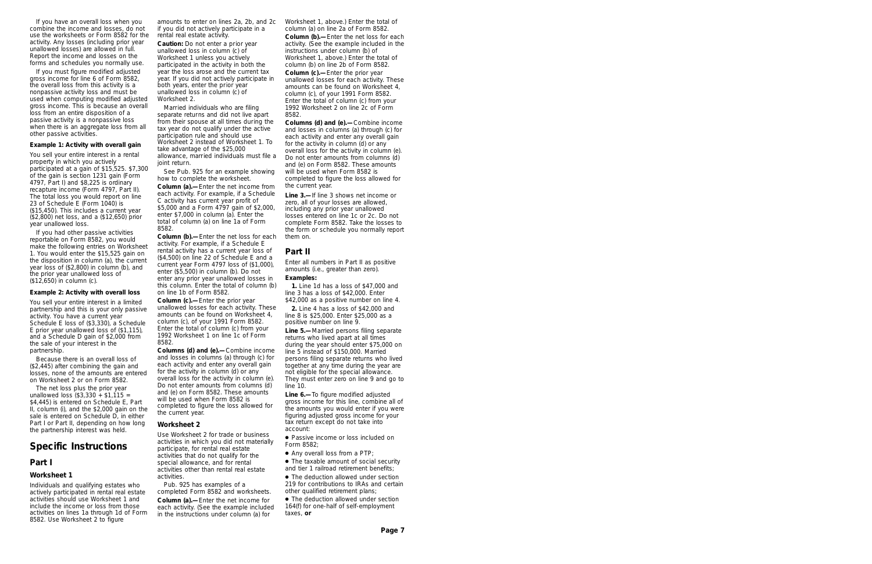If you have an overall loss when you combine the income and losses, do not use the worksheets or Form 8582 for the activity. Any losses (including prior year unallowed losses) are allowed in full. Report the income and losses on the forms and schedules you normally use.

If you must figure modified adjusted gross income for line 6 of Form 8582, the overall loss from this activity is a nonpassive activity loss and must be used when computing modified adjusted gross income. This is because an overall loss from an entire disposition of a passive activity is a nonpassive loss when there is an aggregate loss from all other passive activities.

### **Example 1: Activity with overall gain**

You sell your entire interest in a rental property in which you actively participated at a gain of \$15,525. \$7,300 of the gain is section 1231 gain (Form 4797, Part I) and \$8,225 is ordinary recapture income (Form 4797, Part II). The total loss you would report on line 23 of Schedule E (Form 1040) is (\$15,450). This includes a current year (\$2,800) net loss, and a (\$12,650) prior year unallowed loss.

If you had other passive activities reportable on Form 8582, you would make the following entries on Worksheet 1. You would enter the \$15,525 gain on the disposition in column (a), the current year loss of (\$2,800) in column (b), and the prior year unallowed loss of (\$12,650) in column (c).

#### **Example 2: Activity with overall loss**

You sell your entire interest in a limited partnership and this is your only passive activity. You have a current year Schedule E loss of (\$3,330), a Schedule E prior year unallowed loss of (\$1,115), and a Schedule D gain of \$2,000 from the sale of your interest in the partnership.

Because there is an overall loss of (\$2,445) after combining the gain and losses, none of the amounts are entered on Worksheet 2 or on Form 8582.

The net loss plus the prior year unallowed loss  $(\$3,330 + \$1,115 =$ \$4,445) is entered on Schedule E, Part II, column (i), and the \$2,000 gain on the sale is entered on Schedule D, in either Part I or Part II, depending on how long the partnership interest was held.

# **Specific Instructions**

### **Part I**

### **Worksheet 1**

Individuals and qualifying estates who actively participated in rental real estate activities should use Worksheet 1 and include the income or loss from those activities on lines 1a through 1d of Form 8582. Use Worksheet 2 to figure

amounts to enter on lines 2a, 2b, and 2c if you did not actively participate in a rental real estate activity.

**Caution:** *Do not enter a prior year unallowed loss in column (c) of Worksheet 1 unless you actively participated in the activity in both the year the loss arose and the current tax year. If you did not actively participate in both years, enter the prior year unallowed loss in column (c) of Worksheet 2.*

*Married individuals who are filing separate returns and did not live apart from their spouse at all times during the tax year do not qualify under the active participation rule and should use Worksheet 2 instead of Worksheet 1. To take advantage of the \$25,000 allowance, married individuals must file a joint return.*

See Pub. 925 for an example showing how to complete the worksheet.

**Column (a).—**Enter the net income from each activity. For example, if a Schedule C activity has current year profit of \$5,000 and a Form 4797 gain of \$2,000, enter \$7,000 in column (a). Enter the total of column (a) on line 1a of Form 8582.

**Column (b).—**Enter the net loss for each activity. For example, if a Schedule E rental activity has a current year loss of (\$4,500) on line 22 of Schedule E and a current year Form 4797 loss of (\$1,000), enter (\$5,500) in column (b). Do not enter any prior year unallowed losses in this column. Enter the total of column (b) on line 1b of Form 8582.

**Column (c).—**Enter the prior year unallowed losses for each activity. These amounts can be found on Worksheet 4, column (c), of your 1991 Form 8582. Enter the total of column (c) from your 1992 Worksheet 1 on line 1c of Form 8582.

**Columns (d) and (e).—**Combine income and losses in columns (a) through (c) for each activity and enter any overall gain for the activity in column (d) or any overall loss for the activity in column (e). Do not enter amounts from columns (d) and (e) on Form 8582. These amounts will be used when Form 8582 is completed to figure the loss allowed for the current year.

#### **Worksheet 2**

Use Worksheet 2 for trade or business activities in which you did not materially participate, for rental real estate activities that do not qualify for the special allowance, and for rental activities other than rental real estate activities.

Pub. 925 has examples of a completed Form 8582 and worksheets. **Column (a).—**Enter the net income for each activity. (See the example included in the instructions under column (a) for

Worksheet 1, above.) Enter the total of column (a) on line 2a of Form 8582.

**Column (b).—**Enter the net loss for each activity. (See the example included in the instructions under column (b) of Worksheet 1, above.) Enter the total of column (b) on line 2b of Form 8582.

**Column (c).—**Enter the prior year unallowed losses for each activity. These amounts can be found on Worksheet 4, column (c), of your 1991 Form 8582. Enter the total of column (c) from your 1992 Worksheet 2 on line 2c of Form 8582.

**Columns (d) and (e).—**Combine income and losses in columns (a) through (c) for each activity and enter any overall gain for the activity in column (d) or any overall loss for the activity in column (e). Do not enter amounts from columns (d) and (e) on Form 8582. These amounts will be used when Form 8582 is completed to figure the loss allowed for the current year.

**Line 3.—**If line 3 shows net income or zero, all of your losses are allowed, including any prior year unallowed losses entered on line 1c or 2c. Do not complete Form 8582. Take the losses to the form or schedule you normally report them on.

### **Part II**

Enter all numbers in Part II as positive amounts (i.e., greater than zero).

#### **Examples:**

**1.** Line 1d has a loss of \$47,000 and line 3 has a loss of \$42,000. Enter \$42,000 as a positive number on line 4.

**2.** Line 4 has a loss of \$42,000 and line 8 is \$25,000. Enter \$25,000 as a positive number on line 9.

**Line 5.—**Married persons filing separate returns who lived apart at all times during the year should enter \$75,000 on line 5 instead of \$150,000. Married persons filing separate returns who lived together at any time during the year are not eligible for the special allowance. They must enter zero on line 9 and go to line 10.

**Line 6.—**To figure modified adjusted gross income for this line, combine all of the amounts you would enter if you were figuring adjusted gross income for your tax return except do not take into account:

● Passive income or loss included on Form 8582;

● Any overall loss from a PTP;

● The taxable amount of social security and tier 1 railroad retirement benefits;

● The deduction allowed under section 219 for contributions to IRAs and certain other qualified retirement plans;

● The deduction allowed under section 164(f) for one-half of self-employment taxes, **or**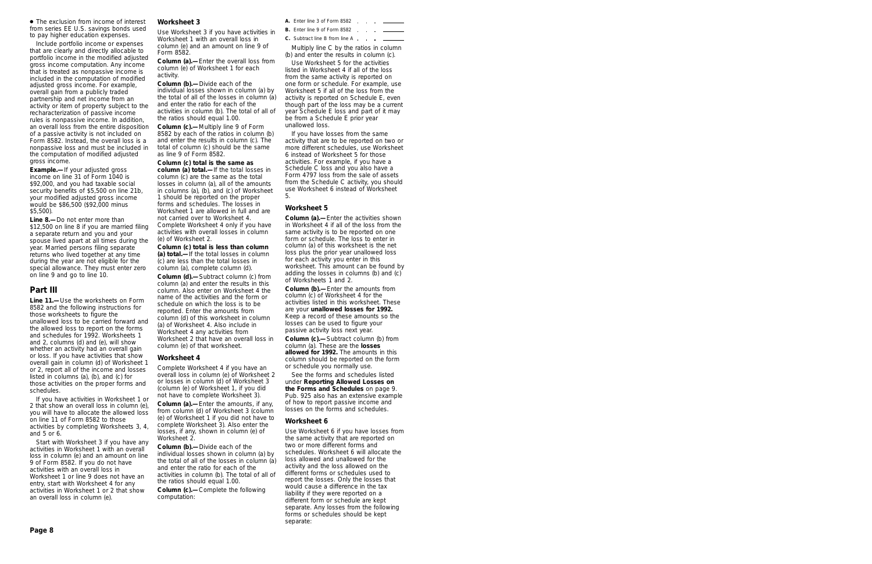● The exclusion from income of interest from series EE U.S. savings bonds used to pay higher education expenses.

Include portfolio income or expenses that are clearly and directly allocable to portfolio income in the modified adjusted gross income computation. Any income that is treated as nonpassive income is included in the computation of modified adjusted gross income. For example, overall gain from a publicly traded partnership and net income from an activity or item of property subject to the recharacterization of passive income rules is nonpassive income. In addition, an overall loss from the entire disposition of a passive activity is not included on Form 8582. Instead, the overall loss is a nonpassive loss and must be included in the computation of modified adjusted gross income.

**Example.—**If your adjusted gross income on line 31 of Form 1040 is \$92,000, and you had taxable social security benefits of \$5,500 on line 21b, your modified adjusted gross income would be \$86,500 (\$92,000 minus \$5,500).

**Line 8.—**Do not enter more than \$12,500 on line 8 if you are married filing a separate return and you and your spouse lived apart at all times during the year. Married persons filing separate returns who lived together at any time during the year are not eligible for the special allowance. They must enter zero on line 9 and go to line 10.

### **Part III**

**Line 11.—**Use the worksheets on Form 8582 and the following instructions for those worksheets to figure the unallowed loss to be carried forward and the allowed loss to report on the forms and schedules for 1992. Worksheets 1 and 2, columns (d) and (e), will show whether an activity had an overall gain or loss. If you have activities that show overall gain in column (d) of Worksheet 1 or 2, report all of the income and losses listed in columns (a), (b), and (c) for those activities on the proper forms and schedules.

If you have activities in Worksheet 1 or 2 that show an overall loss in column (e), you will have to allocate the allowed loss on line 11 of Form 8582 to those activities by completing Worksheets 3, 4, and 5 or 6.

Start with Worksheet 3 if you have any activities in Worksheet 1 with an overall loss in column (e) and an amount on line 9 of Form 8582. If you do not have activities with an overall loss in Worksheet 1 or line 9 does not have an entry, start with Worksheet 4 for any activities in Worksheet 1 or 2 that show an overall loss in column (e).

### **Worksheet 3**

Use Worksheet 3 if you have activities in Worksheet 1 with an overall loss in column (e) and an amount on line 9 of Form 8582.

**Column (a).—**Enter the overall loss from column (e) of Worksheet 1 for each activity.

**Column (b).—**Divide each of the individual losses shown in column (a) by the total of all of the losses in column (a) and enter the ratio for each of the activities in column (b). The total of all of the ratios should equal 1.00.

**Column (c).—**Multiply line 9 of Form 8582 by each of the ratios in column (b) and enter the results in column (c). The total of column (c) should be the same as line 9 of Form 8582.

**Column (c) total is the same as column (a) total.—**If the total losses in column (c) are the same as the total losses in column (a), all of the amounts in columns (a), (b), and (c) of Worksheet 1 should be reported on the proper forms and schedules. The losses in Worksheet 1 are allowed in full and are not carried over to Worksheet 4. Complete Worksheet 4 only if you have activities with overall losses in column (e) of Worksheet 2.

**Column (c) total is less than column (a) total.—**If the total losses in column (c) are less than the total losses in column (a), complete column (d).

**Column (d).—**Subtract column (c) from column (a) and enter the results in this column. Also enter on Worksheet 4 the name of the activities and the form or schedule on which the loss is to be reported. Enter the amounts from column (d) of this worksheet in column (a) of Worksheet 4. Also include in Worksheet 4 any activities from Worksheet 2 that have an overall loss in column (e) of that worksheet.

### **Worksheet 4**

Complete Worksheet 4 if you have an overall loss in column (e) of Worksheet 2 or losses in column (d) of Worksheet 3 (column (e) of Worksheet 1, if you did not have to complete Worksheet 3).

**Column (a).—**Enter the amounts, if any, from column (d) of Worksheet 3 (column (e) of Worksheet 1 if you did not have to complete Worksheet 3). Also enter the losses, if any, shown in column (e) of Worksheet 2.

**Column (b).—**Divide each of the individual losses shown in column (a) by the total of all of the losses in column (a) and enter the ratio for each of the activities in column (b). The total of all of the ratios should equal 1.00.

**Column (c).—**Complete the following computation:

- **A.** Enter line 3 of Form 8582
- **B.** Enter line 9 of Form 8582
- **C.** Subtract line B from line A

Multiply line C by the ratios in column (b) and enter the results in column (c).

Use Worksheet 5 for the activities listed in Worksheet 4 if all of the loss from the same activity is reported on one form or schedule. For example, use Worksheet 5 if all of the loss from the activity is reported on Schedule E, even though part of the loss may be a current year Schedule E loss and part of it may be from a Schedule E prior year unallowed loss.

If you have losses from the same activity that are to be reported on two or more different schedules, use Worksheet 6 instead of Worksheet 5 for those activities. For example, if you have a Schedule C loss and you also have a Form 4797 loss from the sale of assets from the Schedule C activity, you should use Worksheet 6 instead of Worksheet 5.

### **Worksheet 5**

**Column (a).—**Enter the activities shown in Worksheet 4 if all of the loss from the same activity is to be reported on one form or schedule. The loss to enter in column (a) of this worksheet is the net loss plus the prior year unallowed loss for each activity you enter in this worksheet. This amount can be found by adding the losses in columns (b) and (c) of Worksheets 1 and 2.

**Column (b).—**Enter the amounts from column (c) of Worksheet 4 for the activities listed in this worksheet. These are your **unallowed losses for 1992.** Keep a record of these amounts so the losses can be used to figure your passive activity loss next year.

**Column (c).—**Subtract column (b) from column (a). These are the **losses allowed for 1992.** The amounts in this column should be reported on the form or schedule you normally use.

See the forms and schedules listed under **Reporting Allowed Losses on the Forms and Schedules** on page 9. Pub. 925 also has an extensive example of how to report passive income and losses on the forms and schedules.

### **Worksheet 6**

Use Worksheet 6 if you have losses from the same activity that are reported on two or more different forms and schedules. Worksheet 6 will allocate the loss allowed and unallowed for the activity and the loss allowed on the different forms or schedules used to report the losses. Only the losses that would cause a difference in the tax liability if they were reported on a different form or schedule are kept separate. Any losses from the following forms or schedules should be kept separate: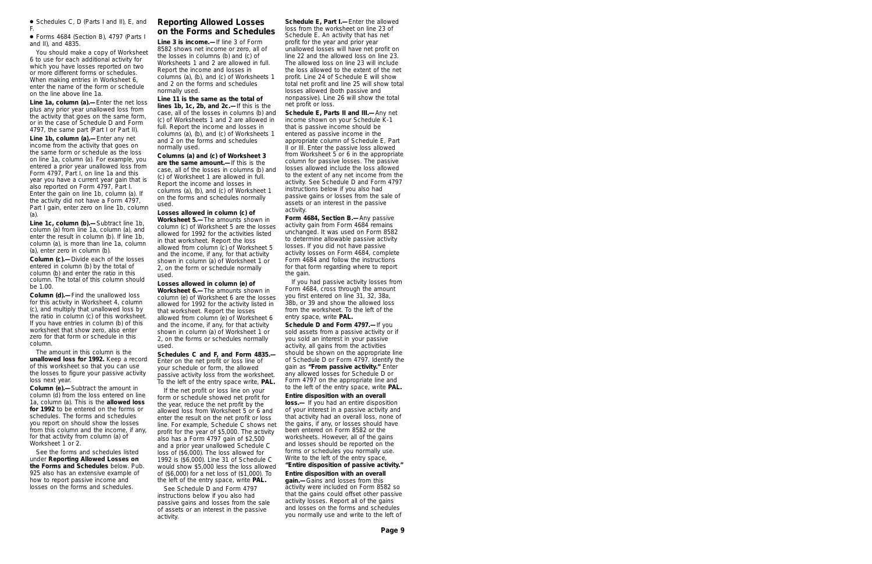● Schedules C, D (Parts I and II), E, and F.

● Forms 4684 (Section B), 4797 (Parts I and II), and 4835.

You should make a copy of Worksheet 6 to use for each additional activity for which you have losses reported on two or more different forms or schedules. When making entries in Worksheet 6, enter the name of the form or schedule on the line above line 1a.

**Line 1a, column (a).—**Enter the net loss plus any prior year unallowed loss from the activity that goes on the same form, or in the case of Schedule D and Form 4797, the same part (Part I or Part II).

**Line 1b, column (a).—**Enter any net income from the activity that goes on the same form or schedule as the loss on line 1a, column (a). For example, you entered a prior year unallowed loss from Form 4797, Part I, on line 1a and this year you have a current year gain that is also reported on Form 4797, Part I. Enter the gain on line 1b, column (a). If the activity did not have a Form 4797, Part I gain, enter zero on line 1b, column (a).

**Line 1c, column (b).—**Subtract line 1b, column (a) from line 1a, column (a), and enter the result in column (b). If line 1b, column (a), is more than line 1a, column (a), enter zero in column (b).

**Column (c).—**Divide each of the losses entered in column (b) by the total of column (b) and enter the ratio in this column. The total of this column should be 1.00.

**Column (d).—**Find the unallowed loss for this activity in Worksheet 4, column (c), and multiply that unallowed loss by the ratio in column (c) of this worksheet. If you have entries in column (b) of this worksheet that show zero, also enter zero for that form or schedule in this column.

The amount in this column is the **unallowed loss for 1992.** Keep a record of this worksheet so that you can use the losses to figure your passive activity loss next year.

**Column (e).—**Subtract the amount in column (d) from the loss entered on line 1a, column (a). This is the **allowed loss for 1992** to be entered on the forms or schedules. The forms and schedules you report on should show the losses from this column and the income, if any, for that activity from column (a) of Worksheet 1 or 2.

See the forms and schedules listed under **Reporting Allowed Losses on the Forms and Schedules** below. Pub. 925 also has an extensive example of how to report passive income and losses on the forms and schedules.

# **Reporting Allowed Losses on the Forms and Schedules**

**Line 3 is income.—**If line 3 of Form 8582 shows net income or zero, all of the losses in columns (b) and (c) of Worksheets 1 and 2 are allowed in full. Report the income and losses in columns (a), (b), and (c) of Worksheets 1 and 2 on the forms and schedules normally used.

**Line 11 is the same as the total of lines 1b, 1c, 2b, and 2c.—**If this is the case, all of the losses in columns (b) and (c) of Worksheets 1 and 2 are allowed in full. Report the income and losses in columns (a), (b), and (c) of Worksheets 1 and 2 on the forms and schedules normally used.

**Columns (a) and (c) of Worksheet 3 are the same amount.—**If this is the case, all of the losses in columns (b) and (c) of Worksheet 1 are allowed in full. Report the income and losses in columns (a), (b), and (c) of Worksheet 1 on the forms and schedules normally used.

**Losses allowed in column (c) of Worksheet 5.—**The amounts shown in column (c) of Worksheet 5 are the losses allowed for 1992 for the activities listed in that worksheet. Report the loss allowed from column (c) of Worksheet 5 and the income, if any, for that activity shown in column (a) of Worksheet 1 or 2, on the form or schedule normally used.

**Losses allowed in column (e) of Worksheet 6.—**The amounts shown in column (e) of Worksheet 6 are the losses allowed for 1992 for the activity listed in that worksheet. Report the losses allowed from column (e) of Worksheet 6 and the income, if any, for that activity shown in column (a) of Worksheet 1 or 2, on the forms or schedules normally used.

**Schedules C and F, and Form 4835.—** Enter on the net profit or loss line of your schedule or form, the allowed passive activity loss from the worksheet. To the left of the entry space write, **PAL.**

If the net profit or loss line on your form or schedule showed net profit for the year, reduce the net profit by the allowed loss from Worksheet 5 or 6 and enter the result on the net profit or loss line. For example, Schedule C shows net profit for the year of \$5,000. The activity also has a Form 4797 gain of \$2,500 and a prior year unallowed Schedule C loss of (\$6,000). The loss allowed for 1992 is (\$6,000). Line 31 of Schedule C would show \$5,000 less the loss allowed of (\$6,000) for a net loss of (\$1,000). To the left of the entry space, write **PAL.**

See Schedule D and Form 4797 instructions below if you also had passive gains and losses from the sale of assets or an interest in the passive activity.

**Schedule E, Part I.—**Enter the allowed loss from the worksheet on line 23 of Schedule E. An activity that has net profit for the year and prior year unallowed losses will have net profit on line 22 and the allowed loss on line 23. The allowed loss on line 23 will include the loss allowed to the extent of the net profit. Line 24 of Schedule E will show total net profit and line 25 will show total losses allowed (both passive and nonpassive). Line 26 will show the total net profit or loss.

**Schedule E, Parts II and III.—**Any net income shown on your Schedule K-1 that is passive income should be entered as passive income in the appropriate column of Schedule E, Part II or III. Enter the passive loss allowed from Worksheet 5 or 6 in the appropriate column for passive losses. The passive losses allowed include the loss allowed to the extent of any net income from the activity. See Schedule D and Form 4797 instructions below if you also had passive gains or losses from the sale of assets or an interest in the passive activity.

**Form 4684, Section B.—**Any passive activity gain from Form 4684 remains unchanged. It was used on Form 8582 to determine allowable passive activity losses. If you did not have passive activity losses on Form 4684, complete Form 4684 and follow the instructions for that form regarding where to report the gain.

If you had passive activity losses from Form 4684, cross through the amount you first entered on line 31, 32, 38a, 38b, or 39 and show the allowed loss from the worksheet. To the left of the entry space, write **PAL.**

**Schedule D and Form 4797.—**If you sold assets from a passive activity or if you sold an interest in your passive activity, all gains from the activities should be shown on the appropriate line of Schedule D or Form 4797. Identify the gain as **"From passive activity."** Enter any allowed losses for Schedule D or Form 4797 on the appropriate line and to the left of the entry space, write **PAL.**

**Entire disposition with an overall loss.—** If you had an entire disposition of your interest in a passive activity and that activity had an overall loss, none of the gains, if any, or losses should have been entered on Form 8582 or the worksheets. However, all of the gains and losses should be reported on the forms or schedules you normally use. Write to the left of the entry space,

**"Entire disposition of passive activity." Entire disposition with an overall gain.—**Gains and losses from this activity were included on Form 8582 so that the gains could offset other passive activity losses. Report all of the gains and losses on the forms and schedules you normally use and write to the left of